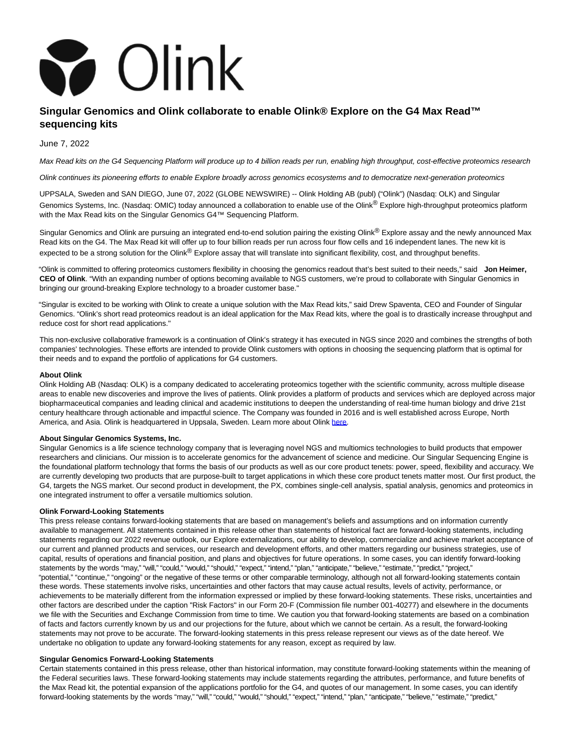

# **Singular Genomics and Olink collaborate to enable Olink® Explore on the G4 Max Read™ sequencing kits**

# June 7, 2022

Max Read kits on the G4 Sequencing Platform will produce up to 4 billion reads per run, enabling high throughput, cost-effective proteomics research

Olink continues its pioneering efforts to enable Explore broadly across genomics ecosystems and to democratize next-generation proteomics

UPPSALA, Sweden and SAN DIEGO, June 07, 2022 (GLOBE NEWSWIRE) -- Olink Holding AB (publ) ("Olink") (Nasdaq: OLK) and Singular Genomics Systems, Inc. (Nasdaq: OMIC) today announced a collaboration to enable use of the Olink® Explore high-throughput proteomics platform with the Max Read kits on the Singular Genomics G4™ Sequencing Platform.

Singular Genomics and Olink are pursuing an integrated end-to-end solution pairing the existing Olink® Explore assay and the newly announced Max Read kits on the G4. The Max Read kit will offer up to four billion reads per run across four flow cells and 16 independent lanes. The new kit is expected to be a strong solution for the Olink® Explore assay that will translate into significant flexibility, cost, and throughput benefits.

"Olink is committed to offering proteomics customers flexibility in choosing the genomics readout that's best suited to their needs," said **Jon Heimer, CEO of Olink**. "With an expanding number of options becoming available to NGS customers, we're proud to collaborate with Singular Genomics in bringing our ground-breaking Explore technology to a broader customer base."

"Singular is excited to be working with Olink to create a unique solution with the Max Read kits," said Drew Spaventa, CEO and Founder of Singular Genomics. "Olink's short read proteomics readout is an ideal application for the Max Read kits, where the goal is to drastically increase throughput and reduce cost for short read applications."

This non-exclusive collaborative framework is a continuation of Olink's strategy it has executed in NGS since 2020 and combines the strengths of both companies' technologies. These efforts are intended to provide Olink customers with options in choosing the sequencing platform that is optimal for their needs and to expand the portfolio of applications for G4 customers.

#### **About Olink**

Olink Holding AB (Nasdaq: OLK) is a company dedicated to accelerating proteomics together with the scientific community, across multiple disease areas to enable new discoveries and improve the lives of patients. Olink provides a platform of products and services which are deployed across major biopharmaceutical companies and leading clinical and academic institutions to deepen the understanding of real-time human biology and drive 21st century healthcare through actionable and impactful science. The Company was founded in 2016 and is well established across Europe, North America, and Asia. Olink is headquartered in Uppsala, Sweden. Learn more about Olink [here.](https://www.globenewswire.com/Tracker?data=qwqtepsCuKDpWmpV1s-WM3RpkwBvBkoStZY8Py6LLsNiQnMnr_kgPQn4l945AJol)

## **About Singular Genomics Systems, Inc.**

Singular Genomics is a life science technology company that is leveraging novel NGS and multiomics technologies to build products that empower researchers and clinicians. Our mission is to accelerate genomics for the advancement of science and medicine. Our Singular Sequencing Engine is the foundational platform technology that forms the basis of our products as well as our core product tenets: power, speed, flexibility and accuracy. We are currently developing two products that are purpose-built to target applications in which these core product tenets matter most. Our first product, the G4, targets the NGS market. Our second product in development, the PX, combines single-cell analysis, spatial analysis, genomics and proteomics in one integrated instrument to offer a versatile multiomics solution.

### **Olink Forward-Looking Statements**

This press release contains forward-looking statements that are based on management's beliefs and assumptions and on information currently available to management. All statements contained in this release other than statements of historical fact are forward-looking statements, including statements regarding our 2022 revenue outlook, our Explore externalizations, our ability to develop, commercialize and achieve market acceptance of our current and planned products and services, our research and development efforts, and other matters regarding our business strategies, use of capital, results of operations and financial position, and plans and objectives for future operations. In some cases, you can identify forward-looking statements by the words "may," "will," "could," "would," "should," "expect," "intend," "plan," "anticipate," "believe," "estimate," "predict," "project," "potential," "continue," "ongoing" or the negative of these terms or other comparable terminology, although not all forward-looking statements contain these words. These statements involve risks, uncertainties and other factors that may cause actual results, levels of activity, performance, or achievements to be materially different from the information expressed or implied by these forward-looking statements. These risks, uncertainties and other factors are described under the caption "Risk Factors" in our Form 20-F (Commission file number 001-40277) and elsewhere in the documents we file with the Securities and Exchange Commission from time to time. We caution you that forward-looking statements are based on a combination of facts and factors currently known by us and our projections for the future, about which we cannot be certain. As a result, the forward-looking statements may not prove to be accurate. The forward-looking statements in this press release represent our views as of the date hereof. We undertake no obligation to update any forward-looking statements for any reason, except as required by law.

#### **Singular Genomics Forward-Looking Statements**

Certain statements contained in this press release, other than historical information, may constitute forward-looking statements within the meaning of the Federal securities laws. These forward-looking statements may include statements regarding the attributes, performance, and future benefits of the Max Read kit, the potential expansion of the applications portfolio for the G4, and quotes of our management. In some cases, you can identify forward-looking statements by the words "may," "will," "could," "would," "should," "expect," "intend," "plan," "anticipate," "believe," "estimate," "predict,"